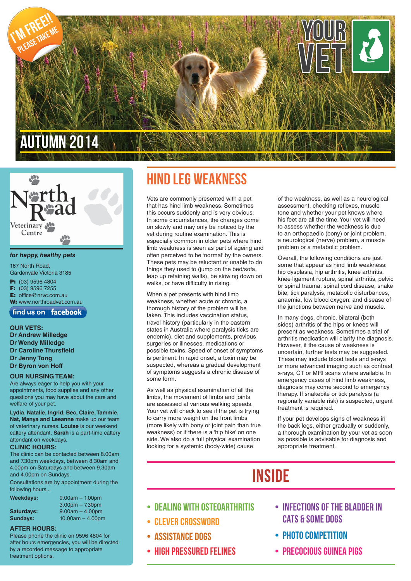

# Veterinary Centre

#### *for happy, healthy pets*

167 North Road, Gardenvale Victoria 3185 **P:** (03) 9596 4804 **F:** (03) 9596 7255 **E:** office@nrvc.com.au

**W:** www.northroadvet.com.au

 $\int$  find us on  $\int$  facebook

**OUR VETS: Dr Andrew Milledge**

**Dr Wendy Milledge Dr Caroline Thursfield Dr Jenny Tong Dr Byron von Hoff**

#### **OUR NURSING TEAM:**

Are always eager to help you with your appointments, food supplies and any other questions you may have about the care and welfare of your pet.

**Lydia, Natalie, Ingrid, Bec, Claire, Tammie, Nat, Manya and Leeanne** make up our team of veterinary nurses. **Louise** is our weekend cattery attendant, **Sarah** is a part-time cattery attendant on weekdays.

#### **CLINIC HOURS:**

The clinic can be contacted between 8.00am and 7.30pm weekdays, between 8.30am and 4.00pm on Saturdays and between 9.30am and 4.00pm on Sundays.

Consultations are by appointment during the following hours...

| Weekdays:  | $9.00am - 1.00pm$  |
|------------|--------------------|
|            | $3.00pm - 7.30pm$  |
| Saturdays: | $9.00am - 4.00pm$  |
| Sundays:   | $10.00am - 4.00pm$ |

#### **AFTER HOURS:**

Please phone the clinic on 9596 4804 for after hours emergencies, you will be directed by a recorded message to appropriate treatment options.

### Hind leg weakness

Vets are commonly presented with a pet that has hind limb weakness. Sometimes this occurs suddenly and is very obvious. In some circumstances, the changes come on slowly and may only be noticed by the vet during routine examination. This is especially common in older pets where hind limb weakness is seen as part of ageing and often perceived to be 'normal' by the owners. These pets may be reluctant or unable to do things they used to (jump on the bed/sofa, leap up retaining walls), be slowing down on walks, or have difficulty in rising.

When a pet presents with hind limb weakness, whether acute or chronic, a thorough history of the problem will be taken. This includes vaccination status, travel history (particularly in the eastern states in Australia where paralysis ticks are endemic), diet and supplements, previous surgeries or illnesses, medications or possible toxins. Speed of onset of symptoms is pertinent. In rapid onset, a toxin may be suspected, whereas a gradual development of symptoms suggests a chronic disease of some form.

As well as physical examination of all the limbs, the movement of limbs and joints are assessed at various walking speeds. Your vet will check to see if the pet is trying to carry more weight on the front limbs (more likely with bony or joint pain than true weakness) or if there is a 'hip hike' on one side. We also do a full physical examination looking for a systemic (body-wide) cause

of the weakness, as well as a neurological assessment, checking reflexes, muscle tone and whether your pet knows where his feet are all the time. Your vet will need to assess whether the weakness is due to an orthopaedic (bony) or joint problem, a neurological (nerve) problem, a muscle problem or a metabolic problem.

Overall, the following conditions are just some that appear as hind limb weakness: hip dysplasia, hip arthritis, knee arthritis, knee ligament rupture, spinal arthritis, pelvic or spinal trauma, spinal cord disease, snake bite, tick paralysis, metabolic disturbances, anaemia, low blood oxygen, and disease of the junctions between nerve and muscle.

In many dogs, chronic, bilateral (both sides) arthritis of the hips or knees will present as weakness. Sometimes a trial of arthritis medication will clarify the diagnosis. However, if the cause of weakness is uncertain, further tests may be suggested. These may include blood tests and x-rays or more advanced imaging such as contrast x-rays, CT or MRI scans where available. In emergency cases of hind limb weakness, diagnosis may come second to emergency therapy. If snakebite or tick paralysis (a regionally variable risk) is suspected, urgent treatment is required.

If your pet develops signs of weakness in the back legs, either gradually or suddenly, a thorough examination by your vet as soon as possible is advisable for diagnosis and appropriate treatment.

# **INSIDE**

- Dealing With Osteoarthritis
- Clever Crossword
- Assistance Dogs
- HIGH PRESSURED FELINES
- Infections Of The Bladder In CATS & SOME DOGS
- PHOTO COMPETITION
- Precocious Guinea Pigs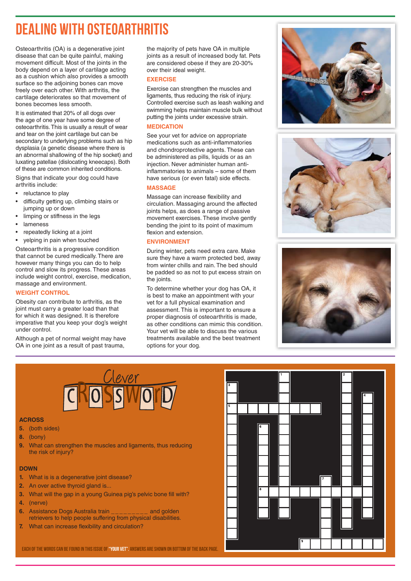## Dealing with Osteoarthritis

Osteoarthritis (OA) is a degenerative joint disease that can be quite painful, making movement difficult. Most of the joints in the body depend on a layer of cartilage acting as a cushion which also provides a smooth surface so the adjoining bones can move freely over each other. With arthritis, the cartilage deteriorates so that movement of bones becomes less smooth.

It is estimated that 20% of all dogs over the age of one year have some degree of osteoarthritis. This is usually a result of wear and tear on the joint cartilage but can be secondary to underlying problems such as hip dysplasia (a genetic disease where there is an abnormal shallowing of the hip socket) and luxating patellae (dislocating kneecaps). Both of these are common inherited conditions.

Signs that indicate your dog could have arthritis include:

- reluctance to play
- difficulty getting up, climbing stairs or jumping up or down
- limping or stiffness in the legs
- lameness
- repeatedly licking at a joint
- yelping in pain when touched

Osteoarthritis is a progressive condition that cannot be cured medically. There are however many things you can do to help control and slow its progress. These areas include weight control, exercise, medication, massage and environment.

#### **WEIGHT CONTROL**

Obesity can contribute to arthritis, as the joint must carry a greater load than that for which it was designed. It is therefore imperative that you keep your dog's weight under control.

Although a pet of normal weight may have OA in one joint as a result of past trauma,

the majority of pets have OA in multiple joints as a result of increased body fat. Pets are considered obese if they are 20-30% over their ideal weight.

#### **EXERCISE**

Exercise can strengthen the muscles and ligaments, thus reducing the risk of injury. Controlled exercise such as leash walking and swimming helps maintain muscle bulk without putting the joints under excessive strain.

#### **MEDICATION**

See your vet for advice on appropriate medications such as anti-inflammatories and chondroprotective agents. These can be administered as pills, liquids or as an injection. Never administer human antiinflammatories to animals  $-$  some of them have serious (or even fatal) side effects.

#### **MASSAGE**

Massage can increase flexibility and circulation. Massaging around the affected joints helps, as does a range of passive movement exercises. These involve gently bending the joint to its point of maximum flexion and extension.

#### **ENVIRONMENT**

During winter, pets need extra care. Make sure they have a warm protected bed, away from winter chills and rain. The bed should be padded so as not to put excess strain on the joints.

To determine whether your dog has OA, it is best to make an appointment with your vet for a full physical examination and assessment. This is important to ensure a proper diagnosis of osteoarthritis is made, as other conditions can mimic this condition. Your vet will be able to discuss the various treatments available and the best treatment options for your dog.









#### **ACROSS**

- **5.** (both sides)
- **8.** (bony)
- **9.** What can strengthen the muscles and ligaments, thus reducing the risk of injury?

#### **DOWN**

- **1.** What is is a degenerative joint disease?
- **2.** An over active thyroid gland is...
- **3.** What will the gap in a young Guinea pig's pelvic bone fill with?
- **4.** (nerve)
- **6.** Assistance Dogs Australia train \_\_\_\_\_\_\_\_\_ and golden retrievers to help people suffering from physical disabilities.
- **7.** What can increase flexibility and circulation?



EACH OF THE WORDS CAN BE FOUND IN THIS ISSUE OF "YOUR VET". ANSWERS ARE SHOWN ON BOTTOM OF THE BACK PAGE.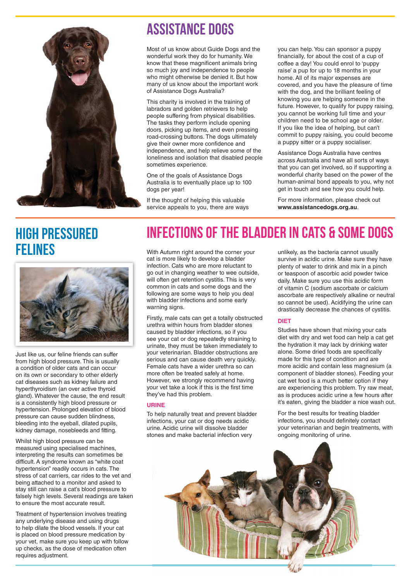

### Assistance Dogs

Most of us know about Guide Dogs and the wonderful work they do for humanity. We know that these magnificent animals bring so much joy and independence to people who might otherwise be denied it. But how many of us know about the important work of Assistance Dogs Australia?

This charity is involved in the training of labradors and golden retrievers to help people suffering from physical disabilities. The tasks they perform include opening doors, picking up items, and even pressing road-crossing buttons. The dogs ultimately give their owner more confidence and independence, and help relieve some of the loneliness and isolation that disabled people sometimes experience.

One of the goals of Assistance Dogs Australia is to eventually place up to 100 dogs per year!

If the thought of helping this valuable service appeals to you, there are ways you can help. You can sponsor a puppy financially, for about the cost of a cup of coffee a day! You could enrol to 'puppy raise' a pup for up to 18 months in your home. All of its major expenses are covered, and you have the pleasure of time with the dog, and the brilliant feeling of knowing you are helping someone in the future. However, to qualify for puppy raising, you cannot be working full time and your children need to be school age or older. If you like the idea of helping, but can't commit to puppy raising, you could become a puppy sitter or a puppy socialiser.

Assistance Dogs Australia have centres across Australia and have all sorts of ways that you can get involved, so if supporting a wonderful charity based on the power of the human-animal bond appeals to you, why not get in touch and see how you could help.

For more information, please check out **www.assistancedogs.org.au**.

### High Pressured FELINES With Autumn right around the corner your



Just like us, our feline friends can suffer from high blood pressure. This is usually a condition of older cats and can occur on its own or secondary to other elderly cat diseases such as kidney failure and hyperthyroidism (an over active thyroid gland). Whatever the cause, the end result is a consistently high blood pressure or hypertension. Prolonged elevation of blood pressure can cause sudden blindness, bleeding into the eyeball, dilated pupils, kidney damage, nosebleeds and fitting.

Whilst high blood pressure can be measured using specialised machines, interpreting the results can sometimes be difficult. A syndrome known as "white coat hypertension" readily occurs in cats. The stress of cat carriers, car rides to the vet and being attached to a monitor and asked to stay still can raise a cat's blood pressure to falsely high levels. Several readings are taken to ensure the most accurate result.

Treatment of hypertension involves treating any underlying disease and using drugs to help dilate the blood vessels. If your cat is placed on blood pressure medication by your vet, make sure you keep up with follow up checks, as the dose of medication often requires adjustment.

# Infections of the bladder in Cats & Some Dogs

cat is more likely to develop a bladder infection. Cats who are more reluctant to go out in changing weather to wee outside, will often get retention cystitis. This is very common in cats and some dogs and the following are some ways to help you deal with bladder infections and some early warning signs.

Firstly, male cats can get a totally obstructed urethra within hours from bladder stones caused by bladder infections, so if you see your cat or dog repeatedly straining to urinate, they must be taken immediately to your veterinarian. Bladder obstructions are serious and can cause death very quickly. Female cats have a wider urethra so can more often be treated safely at home. However, we strongly recommend having your vet take a look if this is the first time they've had this problem.

#### **URINE**

To help naturally treat and prevent bladder infections, your cat or dog needs acidic urine. Acidic urine will dissolve bladder stones and make bacterial infection very

unlikely, as the bacteria cannot usually survive in acidic urine. Make sure they have plenty of water to drink and mix in a pinch or teaspoon of ascorbic acid powder twice daily. Make sure you use this acidic form of vitamin C (sodium ascorbate or calcium ascorbate are respectively alkaline or neutral so cannot be used). Acidifying the urine can drastically decrease the chances of cystitis.

#### **DIET**

Studies have shown that mixing your cats diet with dry and wet food can help a cat get the hydration it may lack by drinking water alone. Some dried foods are specifically made for this type of condition and are more acidic and contain less magnesium (a component of bladder stones). Feeding your cat wet food is a much better option if they are experiencing this problem. Try raw meat, as is produces acidic urine a few hours after it's eaten, giving the bladder a nice wash out.

For the best results for treating bladder infections, you should definitely contact your veterinarian and begin treatments, with ongoing monitoring of urine.